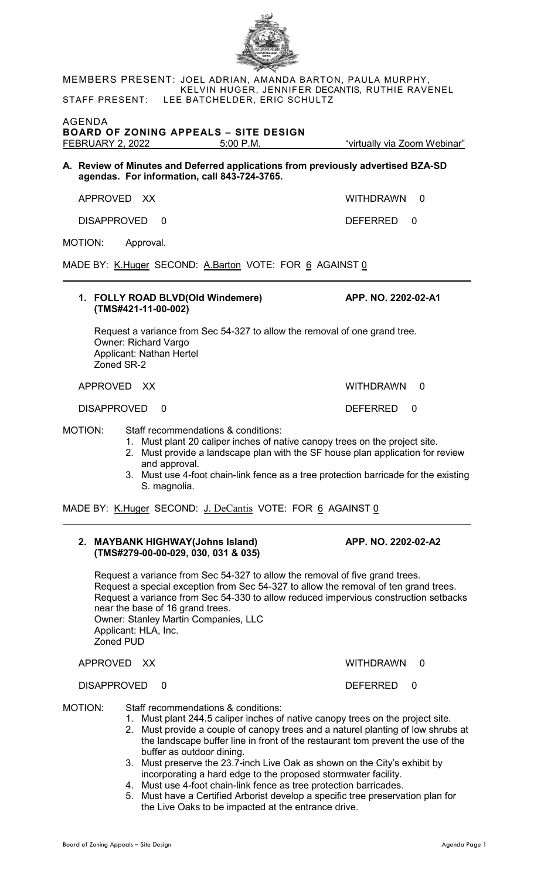MEMBERS PRESENT: JOEL ADRIAN, AMANDA BARTON, PAULA MURPHY, KELVIN HUGER, JENNIFER DECANTIS, RUTHIE RAVENEL STAFF PRESENT: LEE BATCHELDER, ERIC SCHULTZ

AGENDA **BOARD OF ZONING APPEALS – SITE DESIGN**

**A. Review of Minutes and Deferred applications from previously advertised BZA-SD agendas. For information, call 843-724-3765.**

APPROVED XX WITHDRAWN 0

DISAPPROVED 0 DEFERRED 0

MOTION: Approval.

MADE BY: K.Huger SECOND: A.Barton VOTE: FOR 6 AGAINST 0

## **1. FOLLY ROAD BLVD(Old Windemere) APP. NO. 2202-02-A1 (TMS#421-11-00-002)**

Request a variance from Sec 54-327 to allow the removal of one grand tree. Owner: Richard Vargo Applicant: Nathan Hertel Zoned SR-2

APPROVED XX WITHDRAWN 0

DISAPPROVED 0 DEFERRED 0

MOTION: Staff recommendations & conditions:

- 1. Must plant 20 caliper inches of native canopy trees on the project site.
- 2. Must provide a landscape plan with the SF house plan application for review and approval.
- 3. Must use 4-foot chain-link fence as a tree protection barricade for the existing S. magnolia.

MADE BY: K.Huger SECOND: J. DeCantis VOTE: FOR 6 AGAINST 0

## **2. MAYBANK HIGHWAY(Johns Island) APP. NO. 2202-02-A2 (TMS#279-00-00-029, 030, 031 & 035)**

Request a variance from Sec 54-327 to allow the removal of five grand trees. Request a special exception from Sec 54-327 to allow the removal of ten grand trees. Request a variance from Sec 54-330 to allow reduced impervious construction setbacks near the base of 16 grand trees. Owner: Stanley Martin Companies, LLC Applicant: HLA, Inc. Zoned PUD

APPROVED XX WITHDRAWN 0

## DISAPPROVED 0 DEFERRED 0

MOTION: Staff recommendations & conditions:

- 1. Must plant 244.5 caliper inches of native canopy trees on the project site.
- 2. Must provide a couple of canopy trees and a naturel planting of low shrubs at the landscape buffer line in front of the restaurant tom prevent the use of the buffer as outdoor dining.
- 3. Must preserve the 23.7-inch Live Oak as shown on the City's exhibit by incorporating a hard edge to the proposed stormwater facility.
- 4. Must use 4-foot chain-link fence as tree protection barricades.
- 5. Must have a Certified Arborist develop a specific tree preservation plan for the Live Oaks to be impacted at the entrance drive.



"virtually via Zoom Webinar"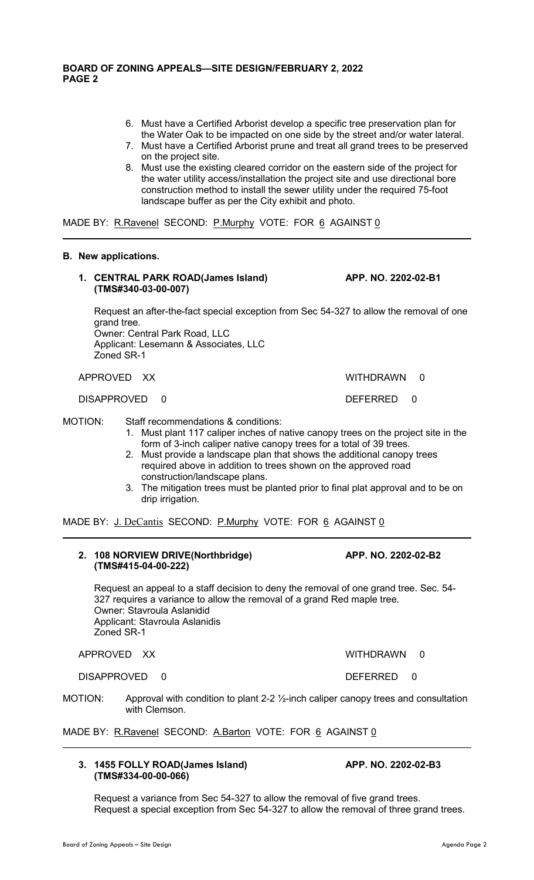- 6. Must have a Certified Arborist develop a specific tree preservation plan for the Water Oak to be impacted on one side by the street and/or water lateral.
- 7. Must have a Certified Arborist prune and treat all grand trees to be preserved on the project site.
- 8. Must use the existing cleared corridor on the eastern side of the project for the water utility access/installation the project site and use directional bore construction method to install the sewer utility under the required 75-foot landscape buffer as per the City exhibit and photo.

MADE BY: R.Ravenel SECOND: P.Murphy VOTE: FOR 6 AGAINST 0

#### **B. New applications.**

**1. CENTRAL PARK ROAD(James Island) APP. NO. 2202-02-B1 (TMS#340-03-00-007)**

Request an after-the-fact special exception from Sec 54-327 to allow the removal of one grand tree. Owner: Central Park Road, LLC

Applicant: Lesemann & Associates, LLC Zoned SR-1

APPROVED XX WITHDRAWN 0

DISAPPROVED 0 DEFERRED 0

MOTION: Staff recommendations & conditions:

- 1. Must plant 117 caliper inches of native canopy trees on the project site in the form of 3-inch caliper native canopy trees for a total of 39 trees.
- 2. Must provide a landscape plan that shows the additional canopy trees required above in addition to trees shown on the approved road construction/landscape plans.
- 3. The mitigation trees must be planted prior to final plat approval and to be on drip irrigation.

MADE BY: J. DeCantis SECOND: P. Murphy VOTE: FOR 6 AGAINST 0

#### **2. 108 NORVIEW DRIVE(Northbridge) APP. NO. 2202-02-B2 (TMS#415-04-00-222)**

Request an appeal to a staff decision to deny the removal of one grand tree. Sec. 54- 327 requires a variance to allow the removal of a grand Red maple tree. Owner: Stavroula Aslanidid Applicant: Stavroula Aslanidis Zoned SR-1

APPROVED XX WITHDRAWN 0

DISAPPROVED 0 DEFERRED 0

MOTION: Approval with condition to plant 2-2 1/<sub>2</sub>-inch caliper canopy trees and consultation with Clemson.

Request a variance from Sec 54-327 to allow the removal of five grand trees.

Request a special exception from Sec 54-327 to allow the removal of three grand trees.

MADE BY: R.Ravenel SECOND: A.Barton VOTE: FOR 6 AGAINST 0

# **3. 1455 FOLLY ROAD(James Island) APP. NO. 2202-02-B3 (TMS#334-00-00-066)**